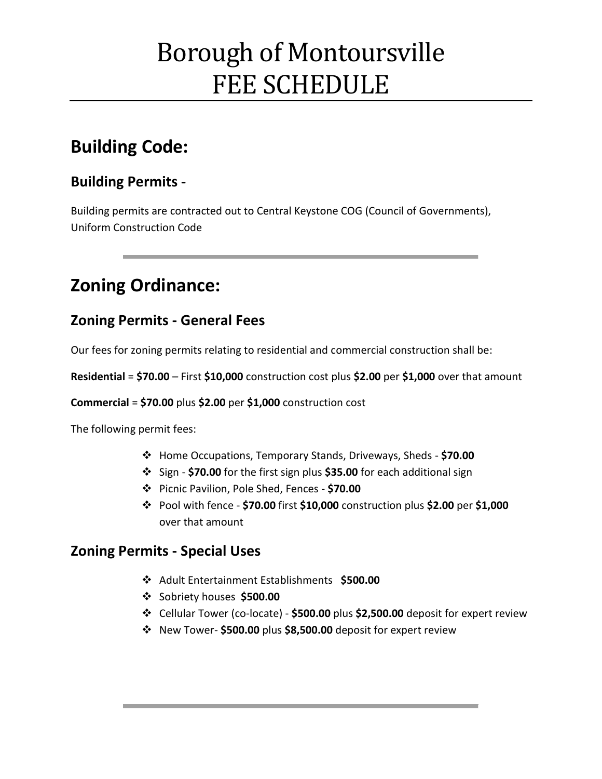# Borough of Montoursville FEE SCHEDULE

## **Building Code:**

### **Building Permits -**

Building permits are contracted out to Central Keystone COG (Council of Governments), Uniform Construction Code

## **Zoning Ordinance:**

### **Zoning Permits - General Fees**

Our fees for zoning permits relating to residential and commercial construction shall be:

**Residential** = **\$70.00** – First **\$10,000** construction cost plus **\$2.00** per **\$1,000** over that amount

**Commercial** = **\$70.00** plus **\$2.00** per **\$1,000** construction cost

The following permit fees:

- Home Occupations, Temporary Stands, Driveways, Sheds **\$70.00**
- Sign **\$70.00** for the first sign plus **\$35.00** for each additional sign
- Picnic Pavilion, Pole Shed, Fences **\$70.00**
- Pool with fence **\$70.00** first **\$10,000** construction plus **\$2.00** per **\$1,000** over that amount

### **Zoning Permits - Special Uses**

- Adult Entertainment Establishments **\$500.00**
- Sobriety houses **\$500.00**
- Cellular Tower (co-locate) **\$500.00** plus **\$2,500.00** deposit for expert review
- New Tower- **\$500.00** plus **\$8,500.00** deposit for expert review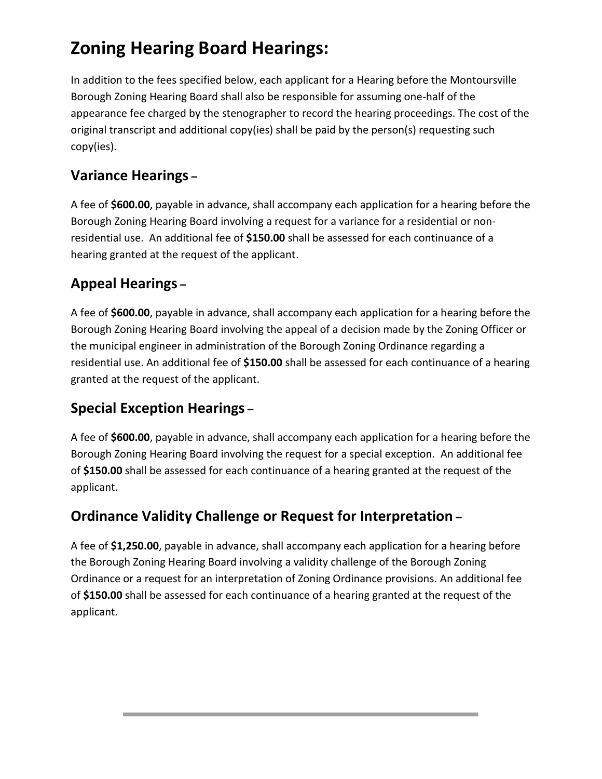## **Zoning Hearing Board Hearings:**

In addition to the fees specified below, each applicant for a Hearing before the Montoursville Borough Zoning Hearing Board shall also be responsible for assuming one-half of the appearance fee charged by the stenographer to record the hearing proceedings. The cost of the original transcript and additional copy(ies) shall be paid by the person(s) requesting such copy(ies).

## **Variance Hearings –**

A fee of **\$600.00**, payable in advance, shall accompany each application for a hearing before the Borough Zoning Hearing Board involving a request for a variance for a residential or nonresidential use. An additional fee of **\$150.00** shall be assessed for each continuance of a hearing granted at the request of the applicant.

## **Appeal Hearings –**

A fee of **\$600.00**, payable in advance, shall accompany each application for a hearing before the Borough Zoning Hearing Board involving the appeal of a decision made by the Zoning Officer or the municipal engineer in administration of the Borough Zoning Ordinance regarding a residential use. An additional fee of **\$150.00** shall be assessed for each continuance of a hearing granted at the request of the applicant.

## **Special Exception Hearings –**

A fee of **\$600.00**, payable in advance, shall accompany each application for a hearing before the Borough Zoning Hearing Board involving the request for a special exception. An additional fee of **\$150.00** shall be assessed for each continuance of a hearing granted at the request of the applicant.

## **Ordinance Validity Challenge or Request for Interpretation –**

A fee of **\$1,250.00**, payable in advance, shall accompany each application for a hearing before the Borough Zoning Hearing Board involving a validity challenge of the Borough Zoning Ordinance or a request for an interpretation of Zoning Ordinance provisions. An additional fee of **\$150.00** shall be assessed for each continuance of a hearing granted at the request of the applicant.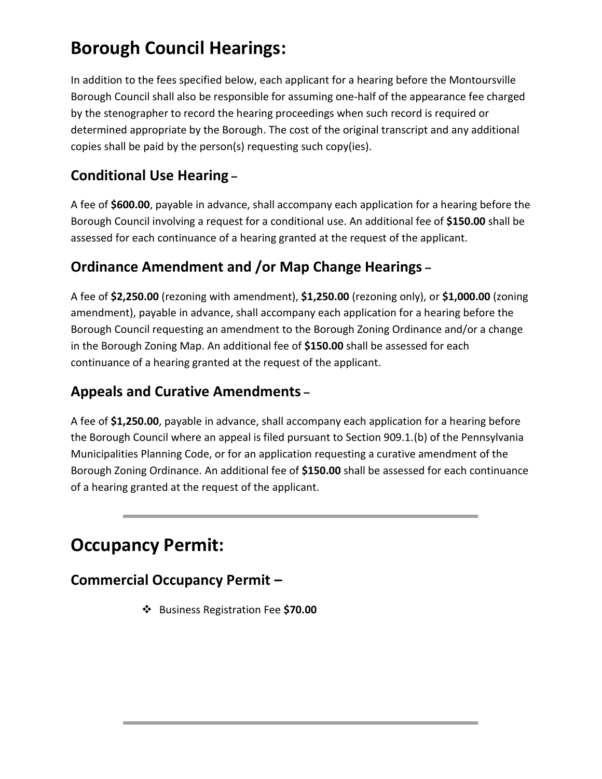## **Borough Council Hearings:**

In addition to the fees specified below, each applicant for a hearing before the Montoursville Borough Council shall also be responsible for assuming one-half of the appearance fee charged by the stenographer to record the hearing proceedings when such record is required or determined appropriate by the Borough. The cost of the original transcript and any additional copies shall be paid by the person(s) requesting such copy(ies).

## **Conditional Use Hearing –**

A fee of **\$600.00**, payable in advance, shall accompany each application for a hearing before the Borough Council involving a request for a conditional use. An additional fee of **\$150.00** shall be assessed for each continuance of a hearing granted at the request of the applicant.

## **Ordinance Amendment and /or Map Change Hearings –**

A fee of **\$2,250.00** (rezoning with amendment), **\$1,250.00** (rezoning only), or **\$1,000.00** (zoning amendment), payable in advance, shall accompany each application for a hearing before the Borough Council requesting an amendment to the Borough Zoning Ordinance and/or a change in the Borough Zoning Map. An additional fee of **\$150.00** shall be assessed for each continuance of a hearing granted at the request of the applicant.

### **Appeals and Curative Amendments –**

A fee of **\$1,250.00**, payable in advance, shall accompany each application for a hearing before the Borough Council where an appeal is filed pursuant to Section 909.1.(b) of the Pennsylvania Municipalities Planning Code, or for an application requesting a curative amendment of the Borough Zoning Ordinance. An additional fee of **\$150.00** shall be assessed for each continuance of a hearing granted at the request of the applicant.

## **Occupancy Permit:**

## **Commercial Occupancy Permit –**

Business Registration Fee **\$70.00**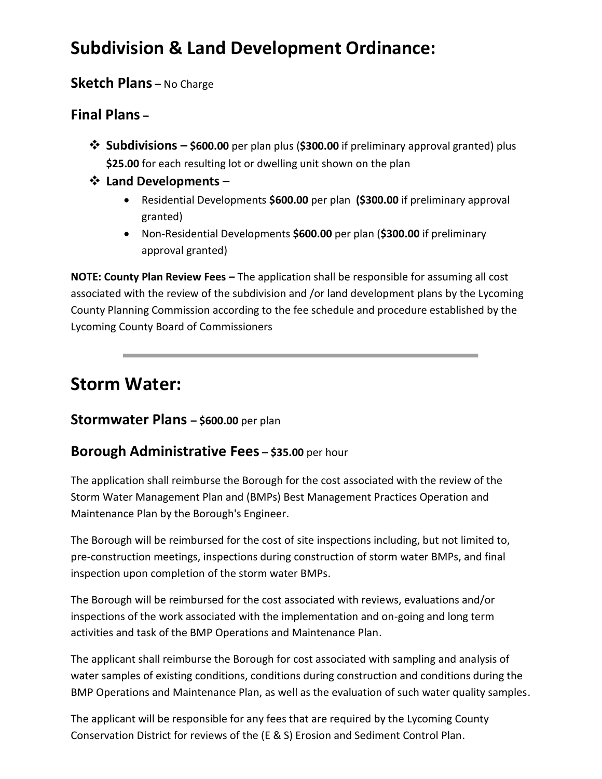## **Subdivision & Land Development Ordinance:**

### **Sketch Plans –** No Charge

### **Final Plans –**

- **Subdivisions – \$600.00** per plan plus (**\$300.00** if preliminary approval granted) plus **\$25.00** for each resulting lot or dwelling unit shown on the plan
- **Land Developments**
	- Residential Developments **\$600.00** per plan **(\$300.00** if preliminary approval granted)
	- Non-Residential Developments **\$600.00** per plan (**\$300.00** if preliminary approval granted)

**NOTE: County Plan Review Fees –** The application shall be responsible for assuming all cost associated with the review of the subdivision and /or land development plans by the Lycoming County Planning Commission according to the fee schedule and procedure established by the Lycoming County Board of Commissioners

## **Storm Water:**

#### **Stormwater Plans – \$600.00** per plan

### **Borough Administrative Fees – \$35.00** per hour

The application shall reimburse the Borough for the cost associated with the review of the Storm Water Management Plan and (BMPs) Best Management Practices Operation and Maintenance Plan by the Borough's Engineer.

The Borough will be reimbursed for the cost of site inspections including, but not limited to, pre-construction meetings, inspections during construction of storm water BMPs, and final inspection upon completion of the storm water BMPs.

The Borough will be reimbursed for the cost associated with reviews, evaluations and/or inspections of the work associated with the implementation and on-going and long term activities and task of the BMP Operations and Maintenance Plan.

The applicant shall reimburse the Borough for cost associated with sampling and analysis of water samples of existing conditions, conditions during construction and conditions during the BMP Operations and Maintenance Plan, as well as the evaluation of such water quality samples.

The applicant will be responsible for any fees that are required by the Lycoming County Conservation District for reviews of the (E & S) Erosion and Sediment Control Plan.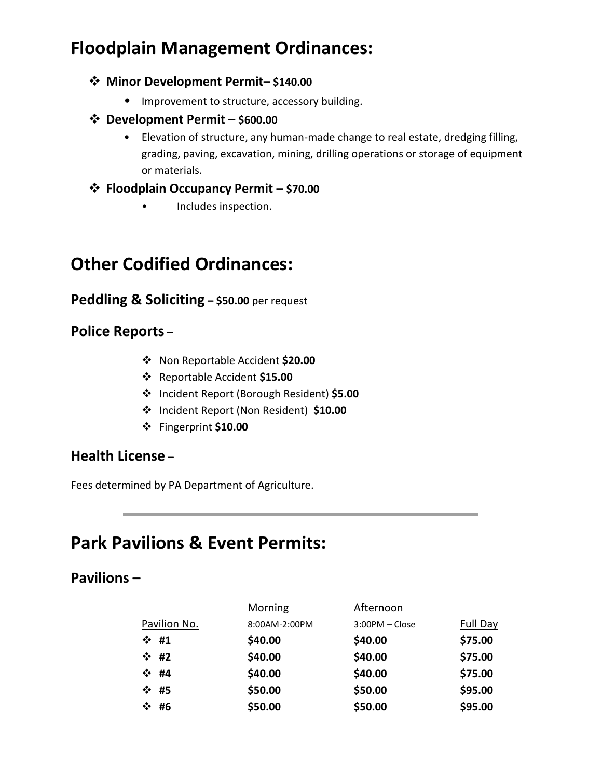## **Floodplain Management Ordinances:**

#### **Minor Development Permit– \$140.00**

• Improvement to structure, accessory building.

#### **Development Permit** – **\$600.00**

• Elevation of structure, any human-made change to real estate, dredging filling, grading, paving, excavation, mining, drilling operations or storage of equipment or materials.

#### **Floodplain Occupancy Permit – \$70.00**

• Includes inspection.

## **Other Codified Ordinances:**

#### **Peddling & Soliciting – \$50.00** per request

### **Police Reports –**

- Non Reportable Accident **\$20.00**
- Reportable Accident **\$15.00**
- Incident Report (Borough Resident) **\$5.00**
- Incident Report (Non Resident) **\$10.00**
- Fingerprint **\$10.00**

#### **Health License –**

Fees determined by PA Department of Agriculture.

## **Park Pavilions & Event Permits:**

#### **Pavilions –**

|              | Morning       | Afternoon      |                 |
|--------------|---------------|----------------|-----------------|
| Pavilion No. | 8:00AM-2:00PM | 3:00PM - Close | <b>Full Day</b> |
| $\div$ #1    | \$40.00       | \$40.00        | \$75.00         |
| $\div$ #2    | \$40.00       | \$40.00        | \$75.00         |
| $\div$ #4    | \$40.00       | \$40.00        | \$75.00         |
| ❖ #5         | \$50.00       | \$50.00        | \$95.00         |
| ❖ #6         | \$50.00       | \$50.00        | \$95.00         |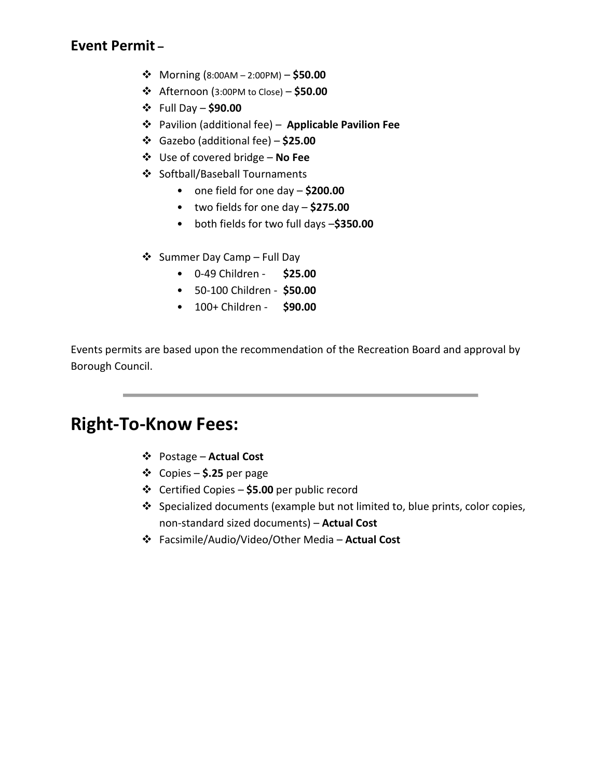### **Event Permit –**

- Morning (8:00AM 2:00PM) **\$50.00**
- Afternoon (3:00PM to Close) **\$50.00**
- Full Day **\$90.00**
- Pavilion (additional fee) – **Applicable Pavilion Fee**
- Gazebo (additional fee) **\$25.00**
- Use of covered bridge **No Fee**
- ❖ Softball/Baseball Tournaments
	- one field for one day **\$200.00**
	- two fields for one day **\$275.00**
	- both fields for two full days –**\$350.00**
- $\triangleleft$  Summer Day Camp Full Day
	- 0-49 Children **\$25.00**
	- 50-100 Children **\$50.00**
	- 100+ Children **\$90.00**

Events permits are based upon the recommendation of the Recreation Board and approval by Borough Council.

## **Right-To-Know Fees:**

- Postage **Actual Cost**
- Copies **\$.25** per page
- Certified Copies **\$5.00** per public record
- $\div$  Specialized documents (example but not limited to, blue prints, color copies, non-standard sized documents) – **Actual Cost**
- Facsimile/Audio/Video/Other Media **Actual Cost**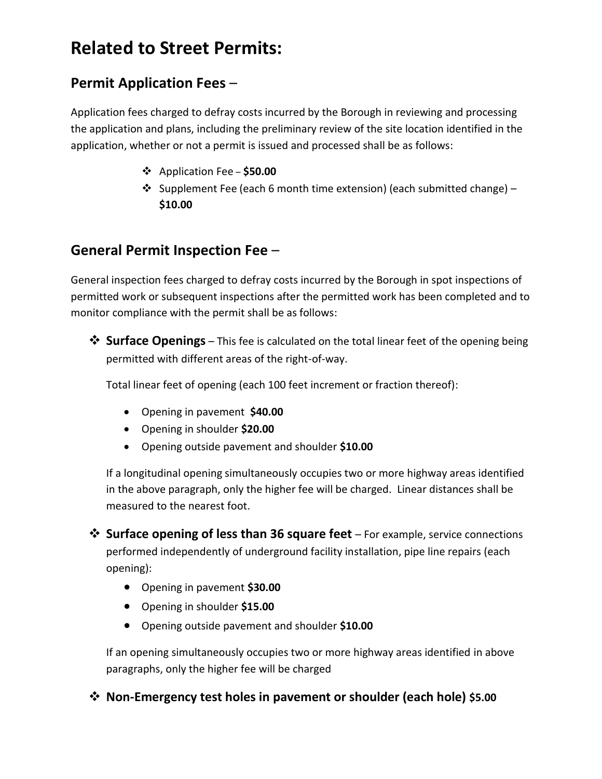## **Related to Street Permits:**

### **Permit Application Fees** –

Application fees charged to defray costs incurred by the Borough in reviewing and processing the application and plans, including the preliminary review of the site location identified in the application, whether or not a permit is issued and processed shall be as follows:

- Application Fee **\$50.00**
- $\cdot$  Supplement Fee (each 6 month time extension) (each submitted change) **\$10.00**

### **General Permit Inspection Fee** –

General inspection fees charged to defray costs incurred by the Borough in spot inspections of permitted work or subsequent inspections after the permitted work has been completed and to monitor compliance with the permit shall be as follows:

**<sup>❖</sup> Surface Openings** – This fee is calculated on the total linear feet of the opening being permitted with different areas of the right-of-way.

Total linear feet of opening (each 100 feet increment or fraction thereof):

- Opening in pavement **\$40.00**
- Opening in shoulder **\$20.00**
- Opening outside pavement and shoulder **\$10.00**

If a longitudinal opening simultaneously occupies two or more highway areas identified in the above paragraph, only the higher fee will be charged. Linear distances shall be measured to the nearest foot.

- **Surface opening of less than 36 square feet** For example, service connections performed independently of underground facility installation, pipe line repairs (each opening):
	- Opening in pavement **\$30.00**
	- Opening in shoulder **\$15.00**
	- Opening outside pavement and shoulder **\$10.00**

If an opening simultaneously occupies two or more highway areas identified in above paragraphs, only the higher fee will be charged

**Non-Emergency test holes in pavement or shoulder (each hole) \$5.00**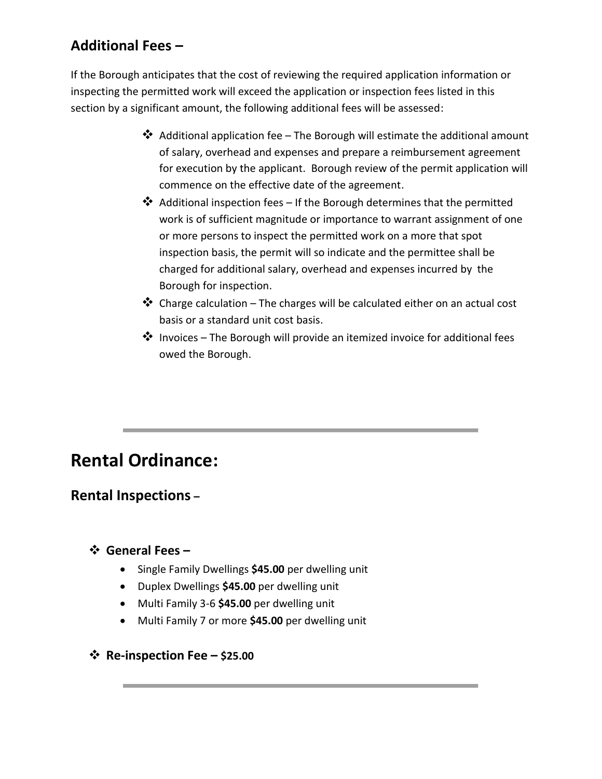## **Additional Fees –**

If the Borough anticipates that the cost of reviewing the required application information or inspecting the permitted work will exceed the application or inspection fees listed in this section by a significant amount, the following additional fees will be assessed:

- $\clubsuit$  Additional application fee The Borough will estimate the additional amount of salary, overhead and expenses and prepare a reimbursement agreement for execution by the applicant. Borough review of the permit application will commence on the effective date of the agreement.
- ◆ Additional inspection fees If the Borough determines that the permitted work is of sufficient magnitude or importance to warrant assignment of one or more persons to inspect the permitted work on a more that spot inspection basis, the permit will so indicate and the permittee shall be charged for additional salary, overhead and expenses incurred by the Borough for inspection.
- $\triangle$  Charge calculation The charges will be calculated either on an actual cost basis or a standard unit cost basis.
- $\clubsuit$  Invoices The Borough will provide an itemized invoice for additional fees owed the Borough.

## **Rental Ordinance:**

### **Rental Inspections –**

#### **General Fees –**

- Single Family Dwellings **\$45.00** per dwelling unit
- Duplex Dwellings **\$45.00** per dwelling unit
- Multi Family 3-6 **\$45.00** per dwelling unit
- Multi Family 7 or more **\$45.00** per dwelling unit
- **Re-inspection Fee – \$25.00**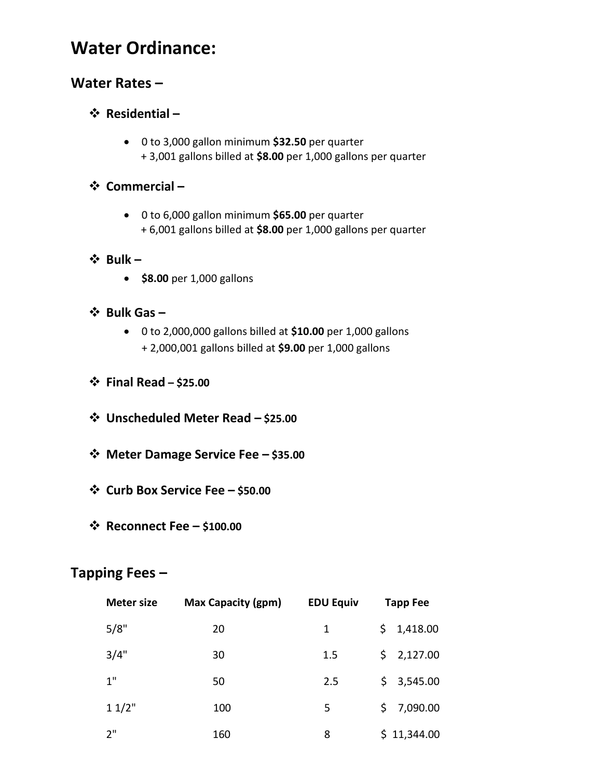## **Water Ordinance:**

### **Water Rates –**

#### **Residential –**

 0 to 3,000 gallon minimum **\$32.50** per quarter + 3,001 gallons billed at **\$8.00** per 1,000 gallons per quarter

#### **Commercial –**

 0 to 6,000 gallon minimum **\$65.00** per quarter + 6,001 gallons billed at **\$8.00** per 1,000 gallons per quarter

#### **Bulk –**

**•** \$8.00 per 1,000 gallons

#### $\div$  Bulk Gas −

- 0 to 2,000,000 gallons billed at **\$10.00** per 1,000 gallons + 2,000,001 gallons billed at **\$9.00** per 1,000 gallons
- **Final Read – \$25.00**
- **Unscheduled Meter Read – \$25.00**
- **Meter Damage Service Fee – \$35.00**
- **Curb Box Service Fee – \$50.00**
- **Reconnect Fee – \$100.00**

### **Tapping Fees –**

| <b>Meter size</b> | <b>Max Capacity (gpm)</b> | <b>EDU Equiv</b> | <b>Tapp Fee</b>     |  |
|-------------------|---------------------------|------------------|---------------------|--|
| 5/8"              | 20                        | 1                | 1,418.00<br>\$.     |  |
| 3/4"              | 30                        | 1.5              | \$2,127.00          |  |
| 1"                | 50                        | 2.5              | \$3,545.00          |  |
| 11/2"             | 100                       | 5                | 7,090.00<br>$\zeta$ |  |
| יי ?              | 160                       | 8                | \$11,344.00         |  |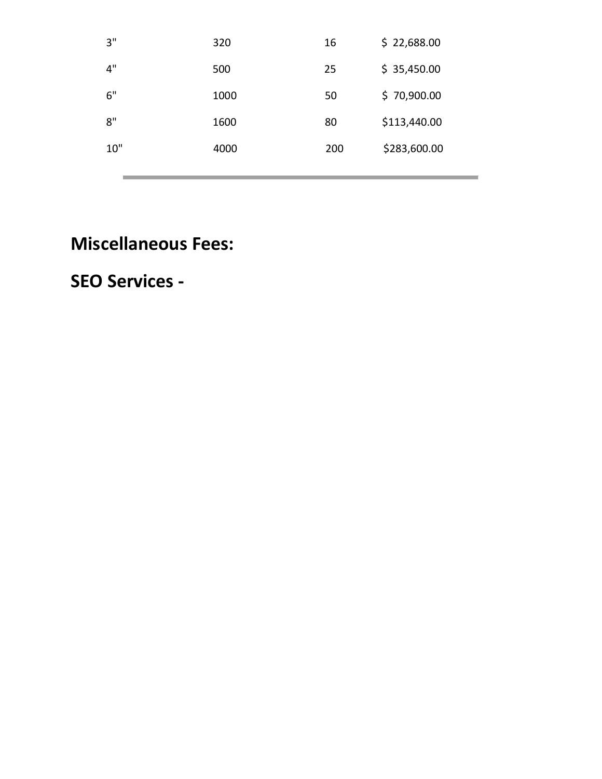| 3"  | 320  | 16  | \$22,688.00  |
|-----|------|-----|--------------|
| 4"  | 500  | 25  | \$35,450.00  |
| 6"  | 1000 | 50  | \$70,900.00  |
| 8"  | 1600 | 80  | \$113,440.00 |
| 10" | 4000 | 200 | \$283,600.00 |
|     |      |     |              |

## **Miscellaneous Fees:**

## **SEO Services -**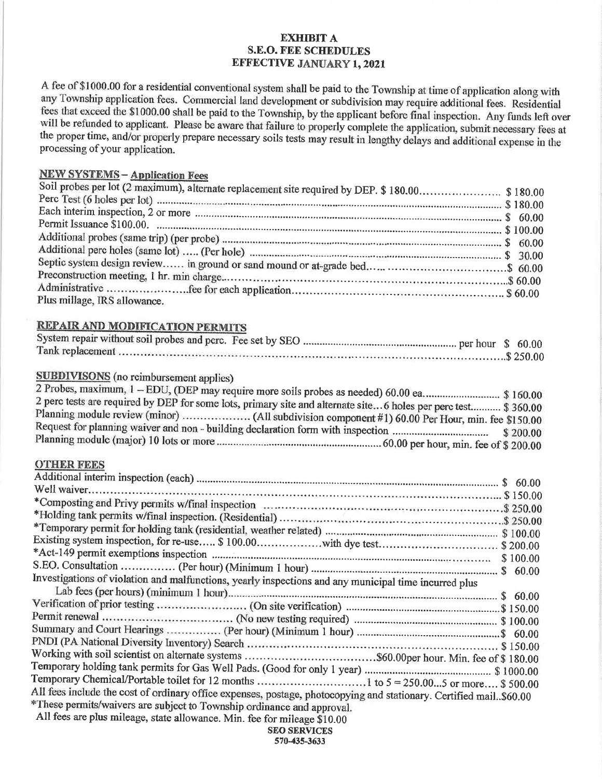#### **EXHIBIT A S.E.O. FEE SCHEDULES EFFECTIVE JANUARY 1, 2021**

A fee of \$1000.00 for a residential conventional system shall be paid to the Township at time of application along with any Township application fees. Commercial land development or subdivision may require additional fees. Residential fees that exceed the \$1000.00 shall be paid to the Township, by the applicant before final inspection. Any funds left over will be refunded to applicant. Please be aware that failure to properly complete the application, submit necessary fees at the proper time, and/or properly prepare necessary soils tests may result in lengthy delays and additional expense in the processing of your application.

#### **NEW SYSTEMS - Application Fees**

| Plus millage, IRS allowance. |  |
|------------------------------|--|

#### **REPAIR AND MODIFICATION PERMITS**

| ank renlacement | \$25000 |
|-----------------|---------|

#### **SUBDIVISONS** (no reimbursement applies)

| 2 Probes, maximum, 1 - EDU, (DEP may require more soils probes as needed) 60.00 ea\$ 160.00                    |  |
|----------------------------------------------------------------------------------------------------------------|--|
| 2 perc tests are required by DEP for some lots, primary site and alternate site6 holes per perc test \$ 360.00 |  |
|                                                                                                                |  |
|                                                                                                                |  |
|                                                                                                                |  |
|                                                                                                                |  |

#### **OTHER FEES**

| Investigations of violation and malfunctions, yearly inspections and any municipal time incurred plus                                                                                                                                                                                                        |
|--------------------------------------------------------------------------------------------------------------------------------------------------------------------------------------------------------------------------------------------------------------------------------------------------------------|
|                                                                                                                                                                                                                                                                                                              |
|                                                                                                                                                                                                                                                                                                              |
|                                                                                                                                                                                                                                                                                                              |
|                                                                                                                                                                                                                                                                                                              |
|                                                                                                                                                                                                                                                                                                              |
| Working with soil scientist on alternate systems \$60.00per hour. Min. fee of \$180.00                                                                                                                                                                                                                       |
|                                                                                                                                                                                                                                                                                                              |
|                                                                                                                                                                                                                                                                                                              |
| All fees include the cost of ordinary office expenses, postage, photocopying and stationary. Certified mail. \$60.00                                                                                                                                                                                         |
| *These permits/waivers are subject to Township ordinance and approval.                                                                                                                                                                                                                                       |
| $\mathbf{A}$ 11 $\mathbf{C}$ , $\mathbf{C}$ , $\mathbf{C}$ , $\mathbf{C}$ , $\mathbf{C}$ , $\mathbf{C}$ , $\mathbf{C}$ , $\mathbf{C}$ , $\mathbf{C}$ , $\mathbf{C}$ , $\mathbf{C}$ , $\mathbf{C}$ , $\mathbf{C}$ , $\mathbf{C}$ , $\mathbf{C}$ , $\mathbf{C}$ , $\mathbf{C}$ , $\mathbf{C}$ , $\mathbf{C}$ , |

All fees are plus mileage, state allowance. Min. fee for mileage \$10.00

**SEO SERVICES** 570-435-3633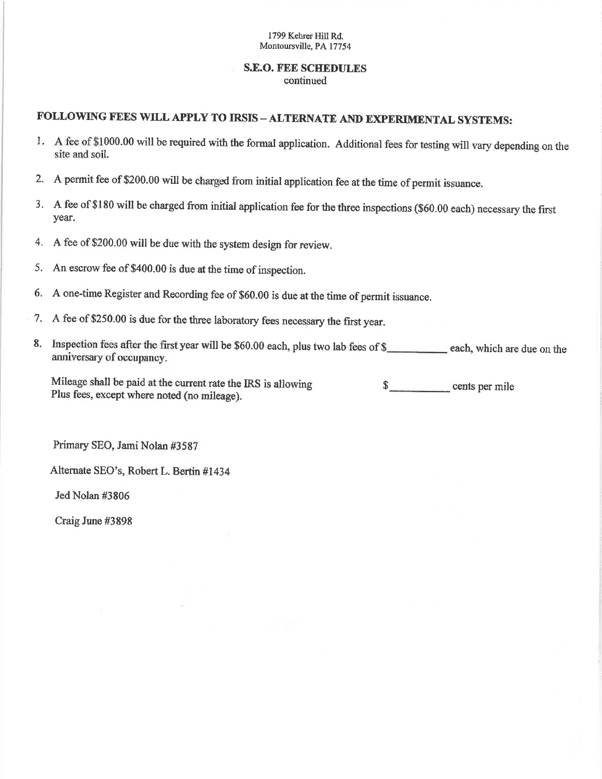#### **S.E.O. FEE SCHEDULES** continued

### FOLLOWING FEES WILL APPLY TO IRSIS - ALTERNATE AND EXPERIMENTAL SYSTEMS:

- 1. A fee of \$1000.00 will be required with the formal application. Additional fees for testing will vary depending on the site and soil.
- A permit fee of \$200.00 will be charged from initial application fee at the time of permit issuance.  $2.$
- 3. A fee of \$180 will be charged from initial application fee for the three inspections (\$60.00 each) necessary the first year.
- A fee of \$200.00 will be due with the system design for review. 4.
- An escrow fee of \$400.00 is due at the time of inspection. 5.
- A one-time Register and Recording fee of \$60.00 is due at the time of permit issuance. 6.
- A fee of \$250.00 is due for the three laboratory fees necessary the first year. 7.
- 8. Inspection fees after the first year will be \$60.00 each, plus two lab fees of \$\_\_\_\_\_\_\_\_\_\_ each, which are due on the anniversary of occupancy.

Mileage shall be paid at the current rate the IRS is allowing  $\sim$ cents per mile Plus fees, except where noted (no mileage).

Primary SEO, Jami Nolan #3587

Alternate SEO's, Robert L. Bertin #1434

Jed Nolan #3806

Craig June #3898